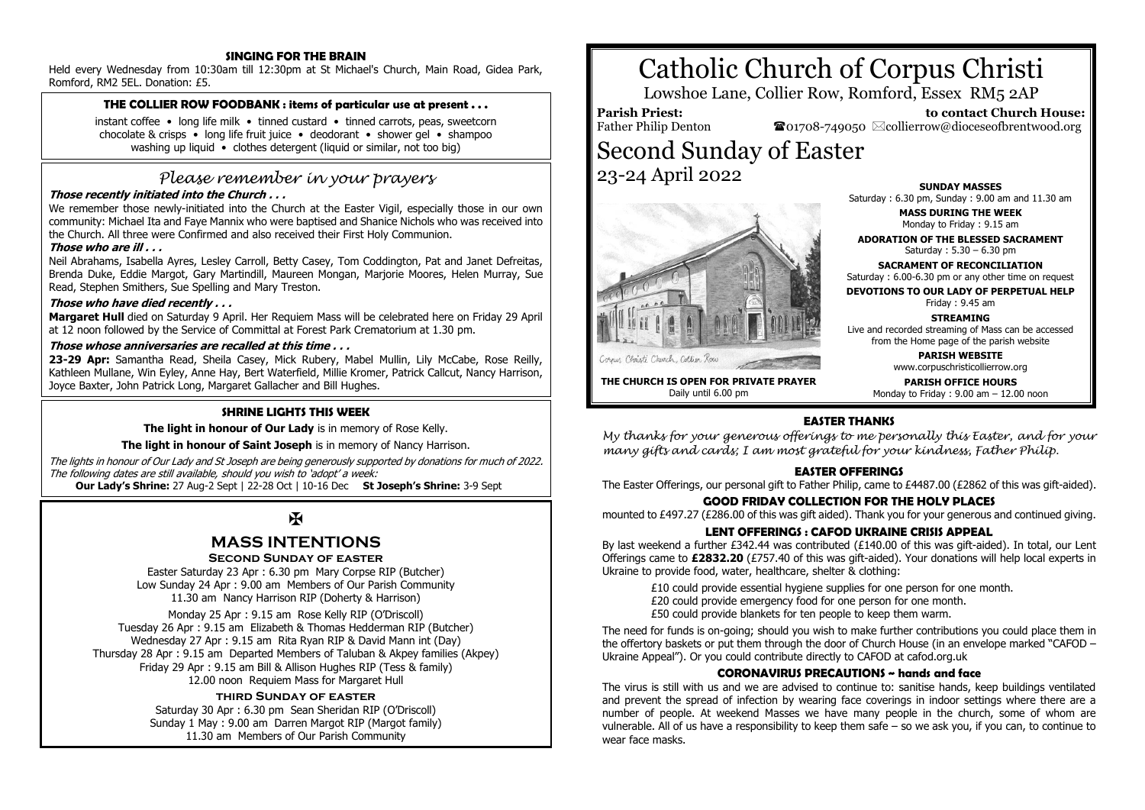## **SINGING FOR THE BRAIN**

Held every Wednesday from 10:30am till 12:30pm at St Michael's Church, Main Road, Gidea Park, Romford, RM2 5EL. Donation: £5.

## **THE COLLIER ROW FOODBANK : items of particular use at present . . .**

instant coffee • long life milk • tinned custard • tinned carrots, peas, sweetcorn chocolate & crisps • long life fruit juice • deodorant • shower gel • shampoo washing up liquid • clothes detergent (liquid or similar, not too big)

# *Please remember in your prayers*

## **Those recently initiated into the Church . . .**

We remember those newly-initiated into the Church at the Easter Vigil, especially those in our own community: Michael Ita and Faye Mannix who were baptised and Shanice Nichols who was received into the Church. All three were Confirmed and also received their First Holy Communion.

## **Those who are ill . . .**

Neil Abrahams, Isabella Ayres, Lesley Carroll, Betty Casey, Tom Coddington, Pat and Janet Defreitas, Brenda Duke, Eddie Margot, Gary Martindill, Maureen Mongan, Marjorie Moores, Helen Murray, Sue Read, Stephen Smithers, Sue Spelling and Mary Treston.

## **Those who have died recently . . .**

**Margaret Hull** died on Saturday 9 April. Her Requiem Mass will be celebrated here on Friday 29 April at 12 noon followed by the Service of Committal at Forest Park Crematorium at 1.30 pm.

#### **Those whose anniversaries are recalled at this time . . .**

**23-29 Apr:** Samantha Read, Sheila Casey, Mick Rubery, Mabel Mullin, Lily McCabe, Rose Reilly, Kathleen Mullane, Win Eyley, Anne Hay, Bert Waterfield, Millie Kromer, Patrick Callcut, Nancy Harrison, Joyce Baxter, John Patrick Long, Margaret Gallacher and Bill Hughes.

## **SHRINE LIGHTS THIS WEEK**

**The light in honour of Our Lady** is in memory of Rose Kelly.

**The light in honour of Saint Joseph** is in memory of Nancy Harrison.

The lights in honour of Our Lady and St Joseph are being generously supported by donations for much of 2022. The following dates are still available, should you wish to 'adopt' a week:

 **Our Lady's Shrine:** 27 Aug-2 Sept | 22-28 Oct | 10-16 Dec **St Joseph's Shrine:** 3-9 Sept

## $\overline{M}$

## **MASS INTENTIONS**

#### **Second Sunday of easter**

Easter Saturday 23 Apr : 6.30 pm Mary Corpse RIP (Butcher) Low Sunday 24 Apr : 9.00 am Members of Our Parish Community 11.30 am Nancy Harrison RIP (Doherty & Harrison)

Monday 25 Apr : 9.15 am Rose Kelly RIP (O'Driscoll) Tuesday 26 Apr : 9.15 am Elizabeth & Thomas Hedderman RIP (Butcher) Wednesday 27 Apr : 9.15 am Rita Ryan RIP & David Mann int (Day) Thursday 28 Apr : 9.15 am Departed Members of Taluban & Akpey families (Akpey) Friday 29 Apr : 9.15 am Bill & Allison Hughes RIP (Tess & family) 12.00 noon Requiem Mass for Margaret Hull

## **third Sunday of easter**

Saturday 30 Apr : 6.30 pm Sean Sheridan RIP (O'Driscoll) Sunday 1 May : 9.00 am Darren Margot RIP (Margot family) 11.30 am Members of Our Parish Community

# Catholic Church of Corpus Christi

Lowshoe Lane, Collier Row, Romford, Essex RM5 2AP

**Parish Priest:**

Father Philip Denton

 **to contact Church House:**  $\bullet$ 01708-749050  $\boxtimes$ collierrow@dioceseofbrentwood.org

Second Sunday of Easter 23-24 April 2022



Corner Christi Church, Collier Roa

**THE CHURCH IS OPEN FOR PRIVATE PRAYER** Daily until 6.00 pm

**SUNDAY MASSES** Saturday : 6.30 pm, Sunday : 9.00 am and 11.30 am **MASS DURING THE WEEK** Monday to Friday : 9.15 am **ADORATION OF THE BLESSED SACRAMENT** Saturday : 5.30 – 6.30 pm

**SACRAMENT OF RECONCILIATION** Saturday : 6.00-6.30 pm or any other time on request

**DEVOTIONS TO OUR LADY OF PERPETUAL HELP** Friday : 9.45 am

**STREAMING**

Live and recorded streaming of Mass can be accessed from the Home page of the parish website

**PARISH WEBSITE**

www.corpuschristicollierrow.org

**PARISH OFFICE HOURS** Monday to Friday : 9.00 am – 12.00 noon

## **EASTER THANKS**

*My thanks for your generous offerings to me personally this Easter, and for your many gifts and cards; I am most grateful for your kindness, Father Philip.*

## **EASTER OFFERINGS**

The Easter Offerings, our personal gift to Father Philip, came to £4487.00 (£2862 of this was gift-aided).

## **GOOD FRIDAY COLLECTION FOR THE HOLY PLACES**

mounted to £497.27 (£286.00 of this was gift aided). Thank you for your generous and continued giving.

## **LENT OFFERINGS : CAFOD UKRAINE CRISIS APPEAL**

By last weekend a further £342.44 was contributed (£140.00 of this was gift-aided). In total, our Lent Offerings came to **£2832.20** (£757.40 of this was gift-aided). Your donations will help local experts in Ukraine to provide food, water, healthcare, shelter & clothing:

£10 could provide essential hygiene supplies for one person for one month. £20 could provide emergency food for one person for one month. £50 could provide blankets for ten people to keep them warm.

The need for funds is on-going; should you wish to make further contributions you could place them in the offertory baskets or put them through the door of Church House (in an envelope marked "CAFOD – Ukraine Appeal"). Or you could contribute directly to CAFOD at cafod.org.uk

## **CORONAVIRUS PRECAUTIONS ~ hands and face**

The virus is still with us and we are advised to continue to: sanitise hands, keep buildings ventilated and prevent the spread of infection by wearing face coverings in indoor settings where there are a number of people. At weekend Masses we have many people in the church, some of whom are vulnerable. All of us have a responsibility to keep them safe – so we ask you, if you can, to continue to wear face masks.